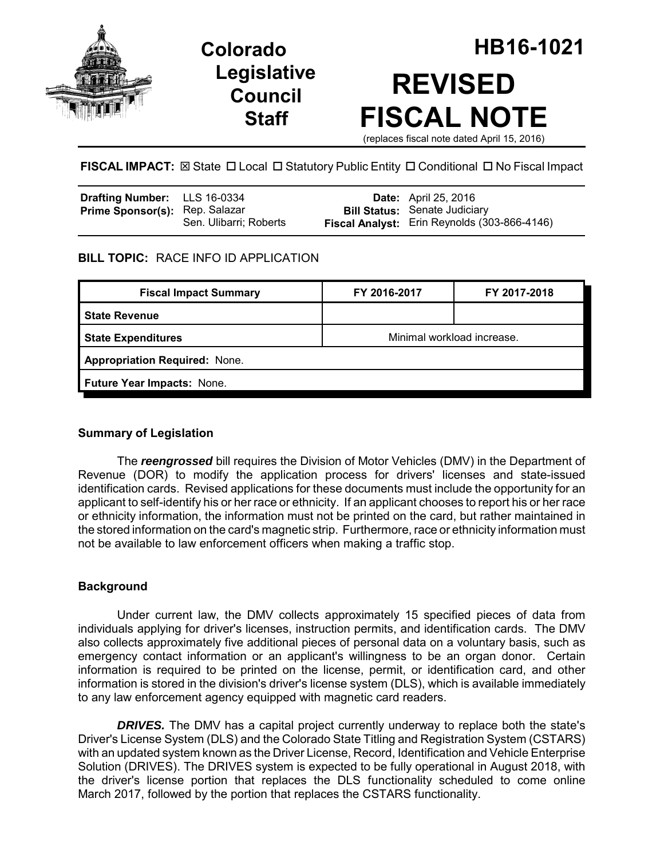





**FISCAL IMPACT:** ⊠ State □ Local □ Statutory Public Entity □ Conditional □ No Fiscal Impact

| <b>Drafting Number:</b> LLS 16-0334   |                        | <b>Date:</b> April 25, 2016                  |
|---------------------------------------|------------------------|----------------------------------------------|
| <b>Prime Sponsor(s): Rep. Salazar</b> |                        | <b>Bill Status: Senate Judiciary</b>         |
|                                       | Sen. Ulibarri; Roberts | Fiscal Analyst: Erin Reynolds (303-866-4146) |

## **BILL TOPIC:** RACE INFO ID APPLICATION

| <b>Fiscal Impact Summary</b>         | FY 2016-2017               | FY 2017-2018 |  |  |  |
|--------------------------------------|----------------------------|--------------|--|--|--|
| <b>State Revenue</b>                 |                            |              |  |  |  |
| <b>State Expenditures</b>            | Minimal workload increase. |              |  |  |  |
| <b>Appropriation Required: None.</b> |                            |              |  |  |  |
| Future Year Impacts: None.           |                            |              |  |  |  |
|                                      |                            |              |  |  |  |

# **Summary of Legislation**

The *reengrossed* bill requires the Division of Motor Vehicles (DMV) in the Department of Revenue (DOR) to modify the application process for drivers' licenses and state-issued identification cards. Revised applications for these documents must include the opportunity for an applicant to self-identify his or her race or ethnicity. If an applicant chooses to report his or her race or ethnicity information, the information must not be printed on the card, but rather maintained in the stored information on the card's magnetic strip. Furthermore, race or ethnicity information must not be available to law enforcement officers when making a traffic stop.

### **Background**

Under current law, the DMV collects approximately 15 specified pieces of data from individuals applying for driver's licenses, instruction permits, and identification cards. The DMV also collects approximately five additional pieces of personal data on a voluntary basis, such as emergency contact information or an applicant's willingness to be an organ donor. Certain information is required to be printed on the license, permit, or identification card, and other information is stored in the division's driver's license system (DLS), which is available immediately to any law enforcement agency equipped with magnetic card readers.

**DRIVES.** The DMV has a capital project currently underway to replace both the state's Driver's License System (DLS) and the Colorado State Titling and Registration System (CSTARS) with an updated system known as the Driver License, Record, Identification and Vehicle Enterprise Solution (DRIVES). The DRIVES system is expected to be fully operational in August 2018, with the driver's license portion that replaces the DLS functionality scheduled to come online March 2017, followed by the portion that replaces the CSTARS functionality.